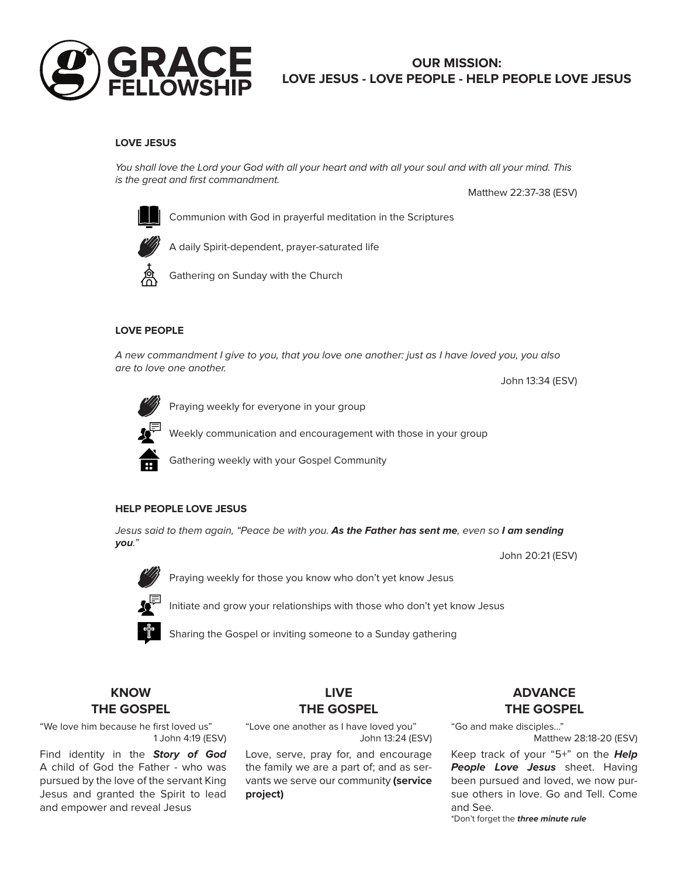

# **OUR MISSION: LOVE JESUS - LOVE PEOPLE - HELP PEOPLE LOVE JESUS**

## **LOVE JESUS**

You shall love the Lord your God with all your heart and with all your soul and with all your mind. This is the great and first commandment.

Matthew 22:37-38 (ESV)



Communion with God in prayerful meditation in the Scriptures



A daily Spirit-dependent, prayer-saturated life



Gathering on Sunday with the Church

#### **LOVE PEOPLE**

A new commandment I give to you, that you love one another: just as I have loved you, you also are to love one another.

John 13:34 (ESV)

John 20:21 (ESV)



Praying weekly for everyone in your group

Weekly communication and encouragement with those in your group



Gathering weekly with your Gospel Community

### **HELP PEOPLE LOVE JESUS**

Jesus said to them again, "Peace be with you. **As the Father has sent me**, even so **I am sending you**."



Praying weekly for those you know who don't yet know Jesus

Initiate and grow your relationships with those who don't yet know Jesus



Sharing the Gospel or inviting someone to a Sunday gathering

## **KNOW THE GOSPEL**

"We love him because he first loved us" 1 John 4:19 (ESV)

Find identity in the **Story of God** A child of God the Father - who was pursued by the love of the servant King Jesus and granted the Spirit to lead and empower and reveal Jesus

## **LIVE THE GOSPEL**

"Love one another as I have loved you" John 13:24 (ESV)

Love, serve, pray for, and encourage the family we are a part of; and as servants we serve our community **(service project)**

# **ADVANCE THE GOSPEL**

"Go and make disciples..."

Matthew 28:18-20 (ESV)

Keep track of your "5+" on the **Help People Love Jesus** sheet. Having been pursued and loved, we now pursue others in love. Go and Tell. Come and See. \*Don't forget the **three minute rule**